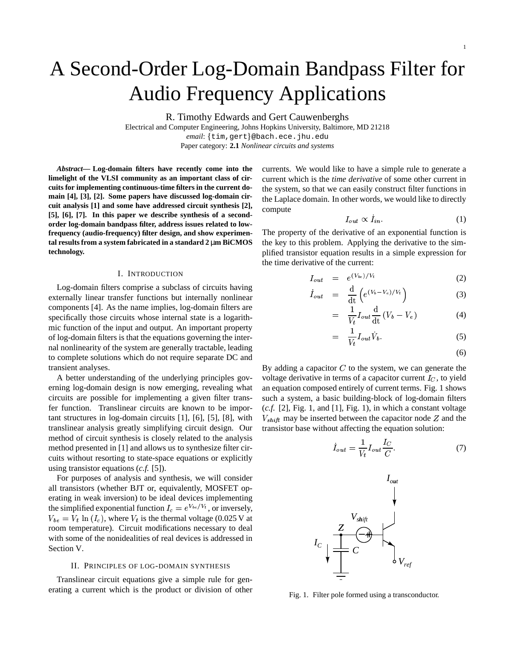# A Second-Order Log-Domain Bandpass Filter for Audio Frequency Applications

R. Timothy Edwards and Gert Cauwenberghs

Electrical and Computer Engineering, Johns Hopkins University, Baltimore, MD 21218 email: {tim,gert}@bach.ece.jhu.edu

Paper category: **2.1** *Nonlinear circuits and systems*

*Abstract***— Log-domain filters have recently come into the limelight of the VLSI community as an important class of circuits for implementing continuous-time filters in the current domain [4], [3], [2]. Some papers have discussed log-domain circuit analysis [1] and some have addressed circuit synthesis [2], [5], [6], [7]. In this paper we describe synthesis of a secondorder log-domain bandpass filter, address issues related to lowfrequency (audio-frequency) filter design, and show experimental resultsfrom a system fabricated in a standard 2** µ**m BiCMOS technology.**

### I. INTRODUCTION

Log-domain filters comprise a subclass of circuits having externally linear transfer functions but internally nonlinear components [4]. As the name implies, log-domain filters are specifically those circuits whose internal state is a logarithmic function of the input and output. An important property of log-domain filters is that the equations governing the internal nonlinearity of the system are generally tractable, leading to complete solutions which do not require separate DC and transient analyses.

A better understanding of the underlying principles governing log-domain design is now emerging, revealing what circuits are possible for implementing a given filter transfer function. Translinear circuits are known to be important structures in log-domain circuits [1], [6], [5], [8], with translinear analysis greatly simplifying circuit design. Our method of circuit synthesis is closely related to the analysis method presented in [1] and allows us to synthesize filter circuits without resorting to state-space equations or explicitly using transistor equations (*c.f.* [5]).

For purposes of analysis and synthesis, we will consider all transistors (whether BJT or, equivalently, MOSFET operating in weak inversion) to be ideal devices implementing the simplified exponential function  $I_c = e^{V_{bc}/V_t}$ , or inversely,  $V_{be} = V_t \ln(I_c)$ , where  $V_t$  is the thermal voltage (0.025 V at room temperature). Circuit modifications necessary to deal with some of the nonidealities of real devices is addressed in Section V.

## II. PRINCIPLES OF LOG-DOMAIN SYNTHESIS

Translinear circuit equations give a simple rule for generating a current which is the product or division of other currents. We would like to have a simple rule to generate a current which is the *time derivative* of some other current in the system, so that we can easily construct filter functions in the Laplace domain. In other words, we would like to directly compute

$$
I_{out} \propto I_{in}.\tag{1}
$$

The property of the derivative of an exponential function is the key to this problem. Applying the derivative to the simplified transistor equation results in a simple expression for the time derivative of the current:

$$
I_{out} = e^{(V_{be})/V_t}
$$
 (2)

$$
\dot{I}_{out} = \frac{\mathrm{d}}{\mathrm{d}t} \left( e^{(V_b - V_e)/V_t} \right) \tag{3}
$$

$$
= \frac{1}{V_t} I_{out} \frac{d}{dt} (V_b - V_e)
$$
 (4)

$$
= \frac{1}{V_t} I_{out} \dot{V}_b. \tag{5}
$$

$$
(6)
$$

By adding a capacitor  $C$  to the system, we can generate the voltage derivative in terms of a capacitor current  $I_C$ , to yield an equation composed entirely of current terms. Fig. 1 shows such a system, a basic building-block of log-domain filters (*c.f.* [2], Fig. 1, and [1], Fig. 1), in which a constant voltage  $V_{shift}$  may be inserted between the capacitor node Z and the transistor base without affecting the equation solution:

$$
\dot{I}_{out} = \frac{1}{V_t} I_{out} \frac{I_C}{C}.
$$
 (7)



Fig. 1. Filter pole formed using a transconductor.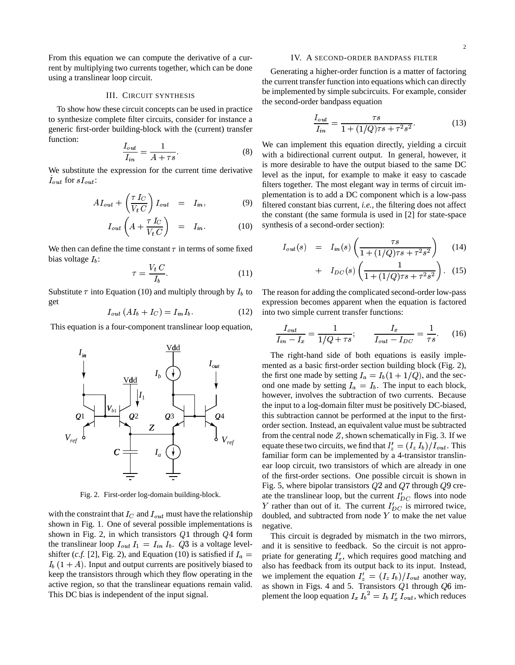From this equation we can compute the derivative of a current by multiplying two currents together, which can be done using a translinear loop circuit.

## III. CIRCUIT SYNTHESIS

To show how these circuit concepts can be used in practice to synthesize complete filter circuits, consider for instance a generic first-order building-block with the (current) transfer function:

$$
\frac{I_{out}}{I_{in}} = \frac{1}{A + \tau s}.\tag{8}
$$

We substitute the expression for the current time derivative  $I_{out}$  for  $sI_{out}$ :

$$
AI_{out} + \left(\frac{\tau I_C}{V_t C}\right) I_{out} = I_{in}, \qquad (9)
$$

$$
I_{out}\left(A + \frac{\tau I_C}{V_t C}\right) = I_{in}.
$$
 (10)

We then can define the time constant  $\tau$  in terms of some fixed bias voltage  $I_b$ :

$$
\tau = \frac{V_t C}{I_b}.\tag{11}
$$

Substitute  $\tau$  into Equation (10) and multiply through by  $I_b$  to  $\tau$ get

$$
I_{out}(AI_b + I_C) = I_{in}I_b.
$$
 (12)

This equation is a four-component translinear loop equation,



Fig. 2. First-order log-domain building-block.

with the constraint that  $I_C$  and  $I_{out}$  must have the relationship shown in Fig. 1. One of several possible implementations is shown in Fig. 2, in which transistors  $Q1$  through  $Q4$  form the translinear loop  $I_{out} I_1 = I_{in} I_b$ . Q3 is a voltage levelshifter (*c.f.* [2], Fig. 2), and Equation (10) is satisfied if  $I_a =$  $I_b$   $(1 + A)$ . Input and output currents are positively biased to keep the transistors through which they flow operating in the active region, so that the translinear equations remain valid. This DC bias is independent of the input signal.

#### IV. A SECOND-ORDER BANDPASS FILTER

Generating a higher-order function is a matter of factoring the current transfer function into equations which can directly be implemented by simple subcircuits. For example, consider the second-order bandpass equation

$$
\frac{I_{out}}{I_{in}} = \frac{\tau s}{1 + (1/Q)\tau s + \tau^2 s^2}.
$$
 (13)

We can implement this equation directly, yielding a circuit with a bidirectional current output. In general, however, it is more desirable to have the output biased to the same DC level as the input, for example to make it easy to cascade filters together. The most elegant way in terms of circuit implementation is to add a DC component which is a low-pass filtered constant bias current, *i.e.*, the filtering does not affect the constant (the same formula is used in [2] for state-space synthesis of a second-order section):

$$
I_{out}(s) = I_{in}(s) \left( \frac{\tau s}{1 + (1/Q)\tau s + \tau^2 s^2} \right) \tag{14}
$$

+ 
$$
I_{DC}(s) \left( \frac{1}{1 + (1/Q)\tau s + \tau^2 s^2} \right)
$$
. (15)

The reason for adding the complicated second-order low-pass expression becomes apparent when the equation is factored into two simple current transfer functions:

$$
\frac{I_{out}}{I_{in} - I_x} = \frac{1}{1/Q + \tau s}; \qquad \frac{I_x}{I_{out} - I_{DC}} = \frac{1}{\tau s}.
$$
 (16)

The right-hand side of both equations is easily implemented as a basic first-order section building block (Fig. 2), the first one made by setting  $I_a = I_b(1 + 1/Q)$ , and the second one made by setting  $I_a = I_b$ . The input to each block, however, involves the subtraction of two currents. Because the input to a log-domain filter must be positively DC-biased, this subtraction cannot be performed at the input to the firstorder section. Instead, an equivalent value must be subtracted from the central node  $Z$ , shown schematically in Fig. 3. If we equate these two circuits, we find that  $I'_z = (I_z I_b)/I_{out}$ . This familiar form can be implemented by a 4-transistor translinear loop circuit, two transistors of which are already in one of the first-order sections. One possible circuit is shown in Fig. 5, where bipolar transistors  $Q2$  and  $Q7$  through  $Q9$  create the translinear loop, but the current  $I'_{DC}$  flows into node Y rather than out of it. The current  $I'_{DC}$  is mirrored twice, doubled, and subtracted from node  $Y$  to make the net value negative.

 $I_a =$  priate for generating  $I'_x$ , which requires good matching and This circuit is degraded by mismatch in the two mirrors, and it is sensitive to feedback. So the circuit is not approalso has feedback from its output back to its input. Instead, we implement the equation  $I'_z = (I_z I_b)/I_{out}$  another way, as shown in Figs. 4 and 5. Transistors  $Q1$  through  $Q6$  implement the loop equation  $I_x I_b^2 = I_b I'_x I_{out}$ , which reduces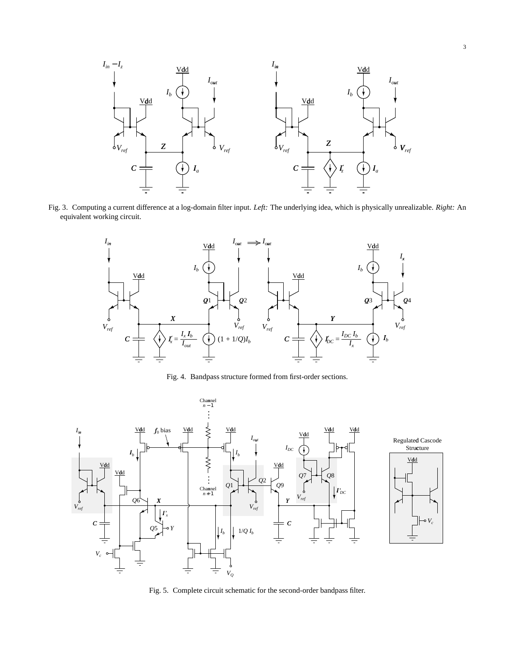

Fig. 3. Computing a current difference at a log-domain filter input. *Left:* The underlying idea, which is physically unrealizable. *Right:* An equivalent working circuit.



Fig. 4. Bandpass structure formed from first-order sections.



Fig. 5. Complete circuit schematic for the second-order bandpass filter.